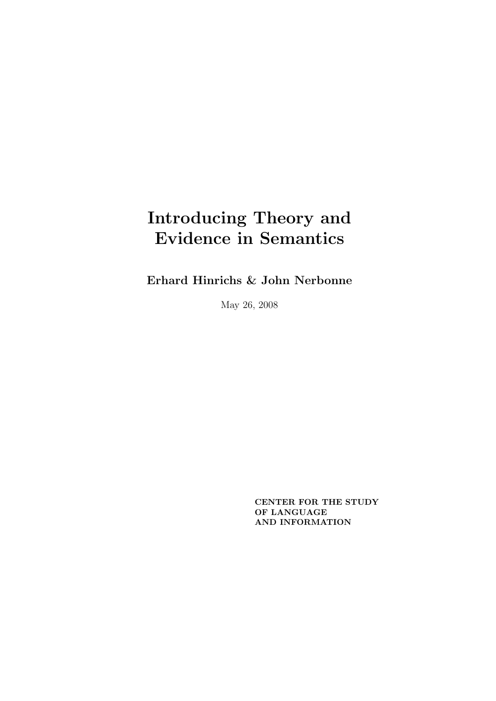Erhard Hinrichs & John Nerbonne

May 26, 2008

CENTER FOR THE STUDY OF LANGUAGE AND INFORMATION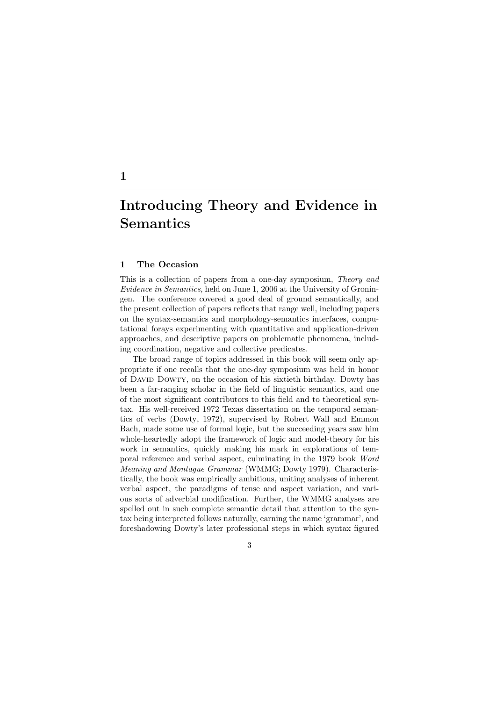## 1 The Occasion

This is a collection of papers from a one-day symposium, Theory and Evidence in Semantics, held on June 1, 2006 at the University of Groningen. The conference covered a good deal of ground semantically, and the present collection of papers reflects that range well, including papers on the syntax-semantics and morphology-semantics interfaces, computational forays experimenting with quantitative and application-driven approaches, and descriptive papers on problematic phenomena, including coordination, negative and collective predicates.

The broad range of topics addressed in this book will seem only appropriate if one recalls that the one-day symposium was held in honor of David Dowty, on the occasion of his sixtieth birthday. Dowty has been a far-ranging scholar in the field of linguistic semantics, and one of the most significant contributors to this field and to theoretical syntax. His well-received 1972 Texas dissertation on the temporal semantics of verbs (Dowty, 1972), supervised by Robert Wall and Emmon Bach, made some use of formal logic, but the succeeding years saw him whole-heartedly adopt the framework of logic and model-theory for his work in semantics, quickly making his mark in explorations of temporal reference and verbal aspect, culminating in the 1979 book Word Meaning and Montague Grammar (WMMG; Dowty 1979). Characteristically, the book was empirically ambitious, uniting analyses of inherent verbal aspect, the paradigms of tense and aspect variation, and various sorts of adverbial modification. Further, the WMMG analyses are spelled out in such complete semantic detail that attention to the syntax being interpreted follows naturally, earning the name 'grammar', and foreshadowing Dowty's later professional steps in which syntax figured

3

# 1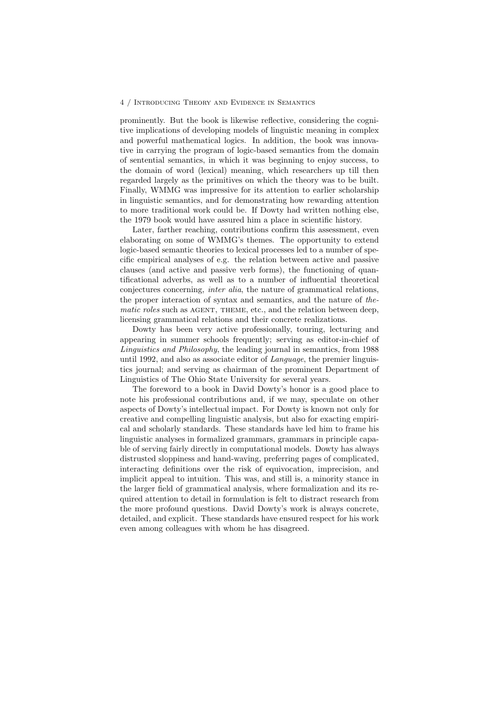prominently. But the book is likewise reflective, considering the cognitive implications of developing models of linguistic meaning in complex and powerful mathematical logics. In addition, the book was innovative in carrying the program of logic-based semantics from the domain of sentential semantics, in which it was beginning to enjoy success, to the domain of word (lexical) meaning, which researchers up till then regarded largely as the primitives on which the theory was to be built. Finally, WMMG was impressive for its attention to earlier scholarship in linguistic semantics, and for demonstrating how rewarding attention to more traditional work could be. If Dowty had written nothing else, the 1979 book would have assured him a place in scientific history.

Later, farther reaching, contributions confirm this assessment, even elaborating on some of WMMG's themes. The opportunity to extend logic-based semantic theories to lexical processes led to a number of specific empirical analyses of e.g. the relation between active and passive clauses (and active and passive verb forms), the functioning of quantificational adverbs, as well as to a number of influential theoretical conjectures concerning, inter alia, the nature of grammatical relations, the proper interaction of syntax and semantics, and the nature of thematic roles such as AGENT, THEME, etc., and the relation between deep, licensing grammatical relations and their concrete realizations.

Dowty has been very active professionally, touring, lecturing and appearing in summer schools frequently; serving as editor-in-chief of Linguistics and Philosophy, the leading journal in semantics, from 1988 until 1992, and also as associate editor of Language, the premier linguistics journal; and serving as chairman of the prominent Department of Linguistics of The Ohio State University for several years.

The foreword to a book in David Dowty's honor is a good place to note his professional contributions and, if we may, speculate on other aspects of Dowty's intellectual impact. For Dowty is known not only for creative and compelling linguistic analysis, but also for exacting empirical and scholarly standards. These standards have led him to frame his linguistic analyses in formalized grammars, grammars in principle capable of serving fairly directly in computational models. Dowty has always distrusted sloppiness and hand-waving, preferring pages of complicated, interacting definitions over the risk of equivocation, imprecision, and implicit appeal to intuition. This was, and still is, a minority stance in the larger field of grammatical analysis, where formalization and its required attention to detail in formulation is felt to distract research from the more profound questions. David Dowty's work is always concrete, detailed, and explicit. These standards have ensured respect for his work even among colleagues with whom he has disagreed.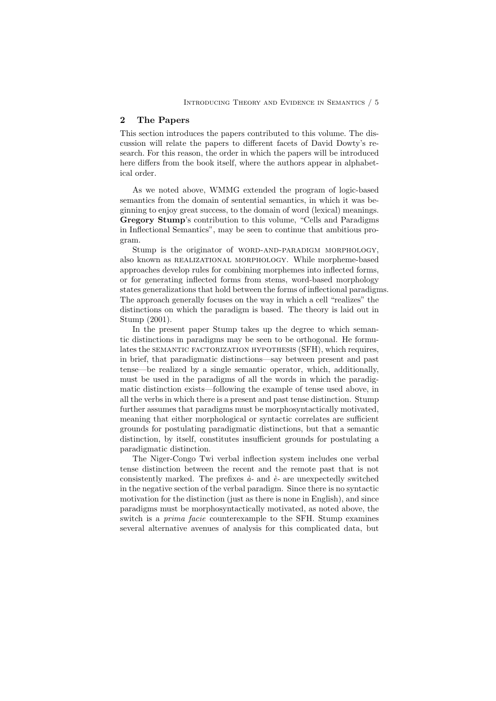### 2 The Papers

This section introduces the papers contributed to this volume. The discussion will relate the papers to different facets of David Dowty's research. For this reason, the order in which the papers will be introduced here differs from the book itself, where the authors appear in alphabetical order.

As we noted above, WMMG extended the program of logic-based semantics from the domain of sentential semantics, in which it was beginning to enjoy great success, to the domain of word (lexical) meanings. Gregory Stump's contribution to this volume, "Cells and Paradigms in Inflectional Semantics", may be seen to continue that ambitious program.

Stump is the originator of WORD-AND-PARADIGM MORPHOLOGY, also known as realizational morphology. While morpheme-based approaches develop rules for combining morphemes into inflected forms, or for generating inflected forms from stems, word-based morphology states generalizations that hold between the forms of inflectional paradigms. The approach generally focuses on the way in which a cell "realizes" the distinctions on which the paradigm is based. The theory is laid out in Stump (2001).

In the present paper Stump takes up the degree to which semantic distinctions in paradigms may be seen to be orthogonal. He formulates the SEMANTIC FACTORIZATION HYPOTHESIS (SFH), which requires, in brief, that paradigmatic distinctions—say between present and past tense—be realized by a single semantic operator, which, additionally, must be used in the paradigms of all the words in which the paradigmatic distinction exists—following the example of tense used above, in all the verbs in which there is a present and past tense distinction. Stump further assumes that paradigms must be morphosyntactically motivated, meaning that either morphological or syntactic correlates are sufficient grounds for postulating paradigmatic distinctions, but that a semantic distinction, by itself, constitutes insufficient grounds for postulating a paradigmatic distinction.

The Niger-Congo Twi verbal inflection system includes one verbal tense distinction between the recent and the remote past that is not consistently marked. The prefixes  $\hat{a}$ - and  $\hat{e}$ - are unexpectedly switched in the negative section of the verbal paradigm. Since there is no syntactic motivation for the distinction (just as there is none in English), and since paradigms must be morphosyntactically motivated, as noted above, the switch is a prima facie counterexample to the SFH. Stump examines several alternative avenues of analysis for this complicated data, but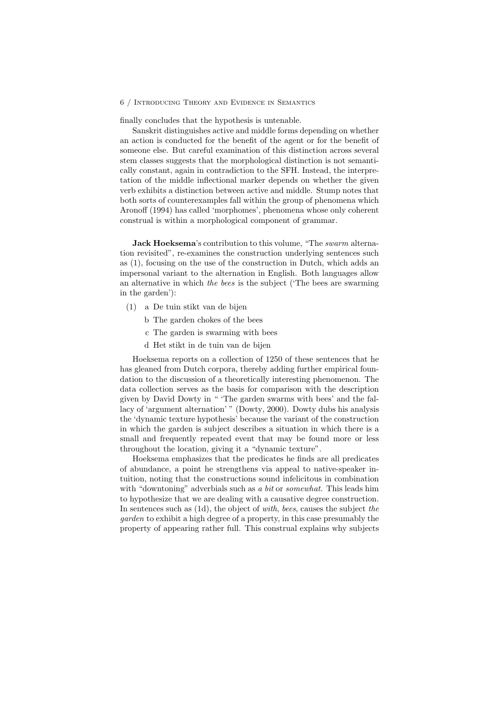finally concludes that the hypothesis is untenable.

Sanskrit distinguishes active and middle forms depending on whether an action is conducted for the benefit of the agent or for the benefit of someone else. But careful examination of this distinction across several stem classes suggests that the morphological distinction is not semantically constant, again in contradiction to the SFH. Instead, the interpretation of the middle inflectional marker depends on whether the given verb exhibits a distinction between active and middle. Stump notes that both sorts of counterexamples fall within the group of phenomena which Aronoff (1994) has called 'morphomes', phenomena whose only coherent construal is within a morphological component of grammar.

Jack Hoeksema's contribution to this volume, "The *swarm* alternation revisited", re-examines the construction underlying sentences such as (1), focusing on the use of the construction in Dutch, which adds an impersonal variant to the alternation in English. Both languages allow an alternative in which the bees is the subject ('The bees are swarming in the garden'):

- (1) a De tuin stikt van de bijen
	- b The garden chokes of the bees
	- c The garden is swarming with bees
	- d Het stikt in de tuin van de bijen

Hoeksema reports on a collection of 1250 of these sentences that he has gleaned from Dutch corpora, thereby adding further empirical foundation to the discussion of a theoretically interesting phenomenon. The data collection serves as the basis for comparison with the description given by David Dowty in " 'The garden swarms with bees' and the fallacy of 'argument alternation' " (Dowty, 2000). Dowty dubs his analysis the 'dynamic texture hypothesis' because the variant of the construction in which the garden is subject describes a situation in which there is a small and frequently repeated event that may be found more or less throughout the location, giving it a "dynamic texture".

Hoeksema emphasizes that the predicates he finds are all predicates of abundance, a point he strengthens via appeal to native-speaker intuition, noting that the constructions sound infelicitous in combination with "downtoning" adverbials such as a *bit* or *somewhat*. This leads him to hypothesize that we are dealing with a causative degree construction. In sentences such as (1d), the object of with, bees, causes the subject the garden to exhibit a high degree of a property, in this case presumably the property of appearing rather full. This construal explains why subjects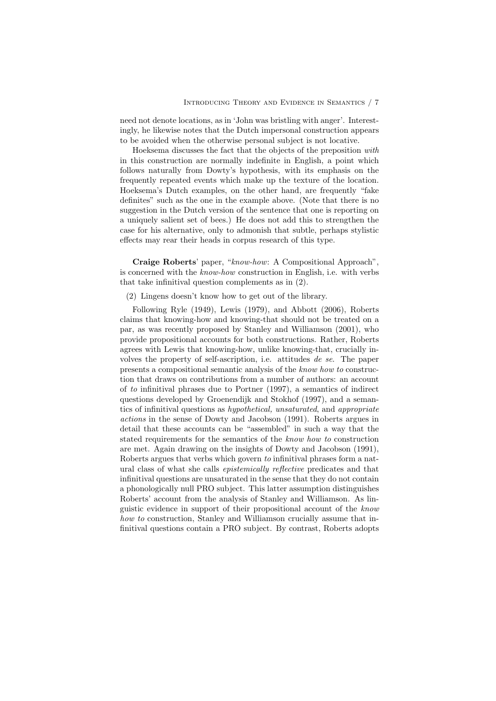need not denote locations, as in 'John was bristling with anger'. Interestingly, he likewise notes that the Dutch impersonal construction appears to be avoided when the otherwise personal subject is not locative.

Hoeksema discusses the fact that the objects of the preposition with in this construction are normally indefinite in English, a point which follows naturally from Dowty's hypothesis, with its emphasis on the frequently repeated events which make up the texture of the location. Hoeksema's Dutch examples, on the other hand, are frequently "fake definites" such as the one in the example above. (Note that there is no suggestion in the Dutch version of the sentence that one is reporting on a uniquely salient set of bees.) He does not add this to strengthen the case for his alternative, only to admonish that subtle, perhaps stylistic effects may rear their heads in corpus research of this type.

Craige Roberts' paper, "know-how: A Compositional Approach", is concerned with the know-how construction in English, i.e. with verbs that take infinitival question complements as in (2).

(2) Lingens doesn't know how to get out of the library.

Following Ryle (1949), Lewis (1979), and Abbott (2006), Roberts claims that knowing-how and knowing-that should not be treated on a par, as was recently proposed by Stanley and Williamson (2001), who provide propositional accounts for both constructions. Rather, Roberts agrees with Lewis that knowing-how, unlike knowing-that, crucially involves the property of self-ascription, i.e. attitudes de se. The paper presents a compositional semantic analysis of the know how to construction that draws on contributions from a number of authors: an account of to infinitival phrases due to Portner (1997), a semantics of indirect questions developed by Groenendijk and Stokhof (1997), and a semantics of infinitival questions as hypothetical, unsaturated, and appropriate actions in the sense of Dowty and Jacobson (1991). Roberts argues in detail that these accounts can be "assembled" in such a way that the stated requirements for the semantics of the know how to construction are met. Again drawing on the insights of Dowty and Jacobson (1991), Roberts argues that verbs which govern to infinitival phrases form a natural class of what she calls epistemically reflective predicates and that infinitival questions are unsaturated in the sense that they do not contain a phonologically null PRO subject. This latter assumption distinguishes Roberts' account from the analysis of Stanley and Williamson. As linguistic evidence in support of their propositional account of the know how to construction. Stanley and Williamson crucially assume that infinitival questions contain a PRO subject. By contrast, Roberts adopts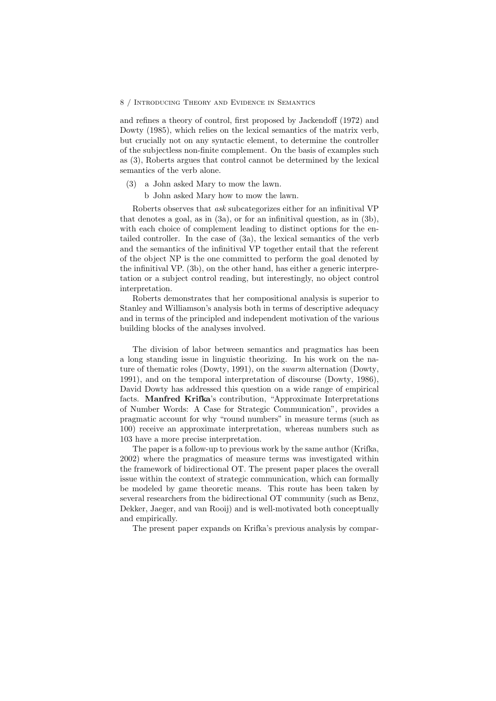and refines a theory of control, first proposed by Jackendoff (1972) and Dowty (1985), which relies on the lexical semantics of the matrix verb, but crucially not on any syntactic element, to determine the controller of the subjectless non-finite complement. On the basis of examples such as (3), Roberts argues that control cannot be determined by the lexical semantics of the verb alone.

- (3) a John asked Mary to mow the lawn.
	- b John asked Mary how to mow the lawn.

Roberts observes that ask subcategorizes either for an infinitival VP that denotes a goal, as in (3a), or for an infinitival question, as in (3b), with each choice of complement leading to distinct options for the entailed controller. In the case of (3a), the lexical semantics of the verb and the semantics of the infinitival VP together entail that the referent of the object NP is the one committed to perform the goal denoted by the infinitival VP. (3b), on the other hand, has either a generic interpretation or a subject control reading, but interestingly, no object control interpretation.

Roberts demonstrates that her compositional analysis is superior to Stanley and Williamson's analysis both in terms of descriptive adequacy and in terms of the principled and independent motivation of the various building blocks of the analyses involved.

The division of labor between semantics and pragmatics has been a long standing issue in linguistic theorizing. In his work on the nature of thematic roles (Dowty, 1991), on the swarm alternation (Dowty, 1991), and on the temporal interpretation of discourse (Dowty, 1986), David Dowty has addressed this question on a wide range of empirical facts. Manfred Krifka's contribution, "Approximate Interpretations of Number Words: A Case for Strategic Communication", provides a pragmatic account for why "round numbers" in measure terms (such as 100) receive an approximate interpretation, whereas numbers such as 103 have a more precise interpretation.

The paper is a follow-up to previous work by the same author (Krifka, 2002) where the pragmatics of measure terms was investigated within the framework of bidirectional OT. The present paper places the overall issue within the context of strategic communication, which can formally be modeled by game theoretic means. This route has been taken by several researchers from the bidirectional OT community (such as Benz, Dekker, Jaeger, and van Rooij) and is well-motivated both conceptually and empirically.

The present paper expands on Krifka's previous analysis by compar-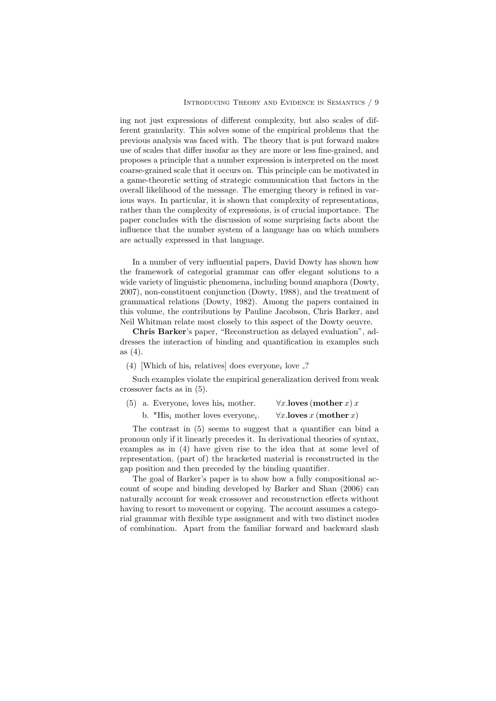ing not just expressions of different complexity, but also scales of different granularity. This solves some of the empirical problems that the previous analysis was faced with. The theory that is put forward makes use of scales that differ insofar as they are more or less fine-grained, and proposes a principle that a number expression is interpreted on the most coarse-grained scale that it occurs on. This principle can be motivated in a game-theoretic setting of strategic communication that factors in the overall likelihood of the message. The emerging theory is refined in various ways. In particular, it is shown that complexity of representations, rather than the complexity of expressions, is of crucial importance. The paper concludes with the discussion of some surprising facts about the influence that the number system of a language has on which numbers are actually expressed in that language.

In a number of very influential papers, David Dowty has shown how the framework of categorial grammar can offer elegant solutions to a wide variety of linguistic phenomena, including bound anaphora (Dowty, 2007), non-constituent conjunction (Dowty, 1988), and the treatment of grammatical relations (Dowty, 1982). Among the papers contained in this volume, the contributions by Pauline Jacobson, Chris Barker, and Neil Whitman relate most closely to this aspect of the Dowty oeuvre.

Chris Barker's paper, "Reconstruction as delayed evaluation", addresses the interaction of binding and quantification in examples such as (4).

(4) [Which of his<sub>i</sub> relatives] does everyone<sub>i</sub> love  $\cdot$ ?

Such examples violate the empirical generalization derived from weak crossover facts as in (5).

|  | $(5)$ a. Everyone <sub>i</sub> loves his <sub>i</sub> mother. | $\forall x.$ loves (mother x) x                     |
|--|---------------------------------------------------------------|-----------------------------------------------------|
|  | b. *His <sub>i</sub> mother loves everyone <sub>i</sub> .     | $\forall x.\mathbf{loves}\,x\,(\mathbf{mother}\,x)$ |

The contrast in (5) seems to suggest that a quantifier can bind a pronoun only if it linearly precedes it. In derivational theories of syntax, examples as in (4) have given rise to the idea that at some level of representation, (part of) the bracketed material is reconstructed in the gap position and then preceded by the binding quantifier.

The goal of Barker's paper is to show how a fully compositional account of scope and binding developed by Barker and Shan (2006) can naturally account for weak crossover and reconstruction effects without having to resort to movement or copying. The account assumes a categorial grammar with flexible type assignment and with two distinct modes of combination. Apart from the familiar forward and backward slash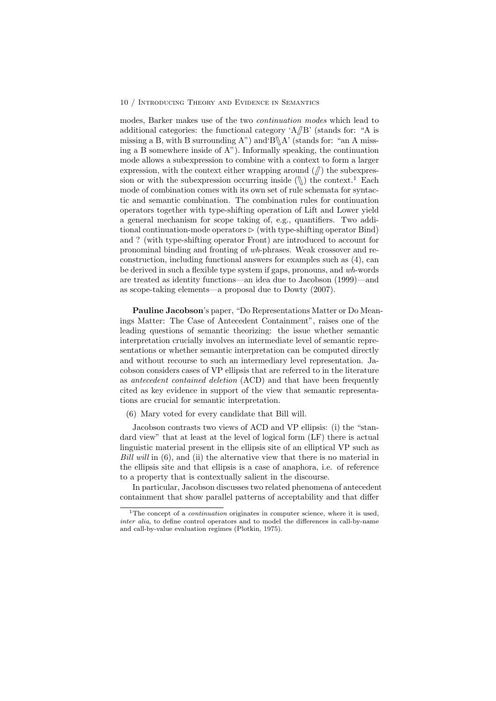modes, Barker makes use of the two continuation modes which lead to additional categories: the functional category  $A/B'$  (stands for: "A is missing a B, with B surrounding A") and  $B \Lambda'$  (stands for: "an A missing a B somewhere inside of A"). Informally speaking, the continuation mode allows a subexpression to combine with a context to form a larger expression, with the context either wrapping around  $(\pi)$  the subexpression or with the subexpression occurring inside  $(\%)$  the context.<sup>1</sup> Each mode of combination comes with its own set of rule schemata for syntactic and semantic combination. The combination rules for continuation operators together with type-shifting operation of Lift and Lower yield a general mechanism for scope taking of, e.g., quantifiers. Two additional continuation-mode operators  $\triangleright$  (with type-shifting operator Bind) and ? (with type-shifting operator Front) are introduced to account for pronominal binding and fronting of wh-phrases. Weak crossover and reconstruction, including functional answers for examples such as (4), can be derived in such a flexible type system if gaps, pronouns, and wh-words are treated as identity functions—an idea due to Jacobson (1999)—and as scope-taking elements—a proposal due to Dowty (2007).

Pauline Jacobson's paper, "Do Representations Matter or Do Meanings Matter: The Case of Antecedent Containment", raises one of the leading questions of semantic theorizing: the issue whether semantic interpretation crucially involves an intermediate level of semantic representations or whether semantic interpretation can be computed directly and without recourse to such an intermediary level representation. Jacobson considers cases of VP ellipsis that are referred to in the literature as antecedent contained deletion (ACD) and that have been frequently cited as key evidence in support of the view that semantic representations are crucial for semantic interpretation.

Jacobson contrasts two views of ACD and VP ellipsis: (i) the "standard view" that at least at the level of logical form (LF) there is actual linguistic material present in the ellipsis site of an elliptical VP such as Bill will in (6), and (ii) the alternative view that there is no material in the ellipsis site and that ellipsis is a case of anaphora, i.e. of reference to a property that is contextually salient in the discourse.

In particular, Jacobson discusses two related phenomena of antecedent containment that show parallel patterns of acceptability and that differ

<sup>(6)</sup> Mary voted for every candidate that Bill will.

<sup>&</sup>lt;sup>1</sup>The concept of a *continuation* originates in computer science, where it is used, inter alia, to define control operators and to model the differences in call-by-name and call-by-value evaluation regimes (Plotkin, 1975).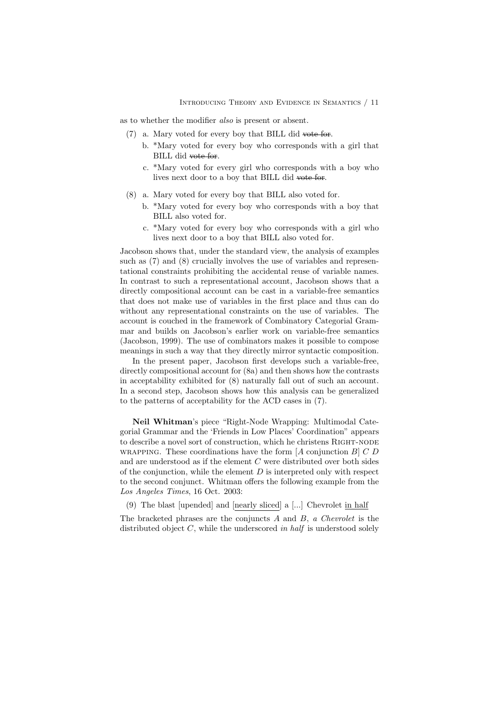as to whether the modifier also is present or absent.

- (7) a. Mary voted for every boy that BILL did vote for.
	- b. \*Mary voted for every boy who corresponds with a girl that BILL did vote for.
	- c. \*Mary voted for every girl who corresponds with a boy who lives next door to a boy that BILL did vote for.
- (8) a. Mary voted for every boy that BILL also voted for.
	- b. \*Mary voted for every boy who corresponds with a boy that BILL also voted for.
	- c. \*Mary voted for every boy who corresponds with a girl who lives next door to a boy that BILL also voted for.

Jacobson shows that, under the standard view, the analysis of examples such as (7) and (8) crucially involves the use of variables and representational constraints prohibiting the accidental reuse of variable names. In contrast to such a representational account, Jacobson shows that a directly compositional account can be cast in a variable-free semantics that does not make use of variables in the first place and thus can do without any representational constraints on the use of variables. The account is couched in the framework of Combinatory Categorial Grammar and builds on Jacobson's earlier work on variable-free semantics (Jacobson, 1999). The use of combinators makes it possible to compose meanings in such a way that they directly mirror syntactic composition.

In the present paper, Jacobson first develops such a variable-free, directly compositional account for (8a) and then shows how the contrasts in acceptability exhibited for (8) naturally fall out of such an account. In a second step, Jacobson shows how this analysis can be generalized to the patterns of acceptability for the ACD cases in (7).

Neil Whitman's piece "Right-Node Wrapping: Multimodal Categorial Grammar and the 'Friends in Low Places' Coordination" appears to describe a novel sort of construction, which he christens RIGHT-NODE WRAPPING. These coordinations have the form  $[A]$  conjunction  $B]$   $C$   $D$ and are understood as if the element C were distributed over both sides of the conjunction, while the element  $D$  is interpreted only with respect to the second conjunct. Whitman offers the following example from the Los Angeles Times, 16 Oct. 2003:

(9) The blast [upended] and [nearly sliced] a [...] Chevrolet in half

The bracketed phrases are the conjuncts A and B, a Chevrolet is the distributed object  $C$ , while the underscored in half is understood solely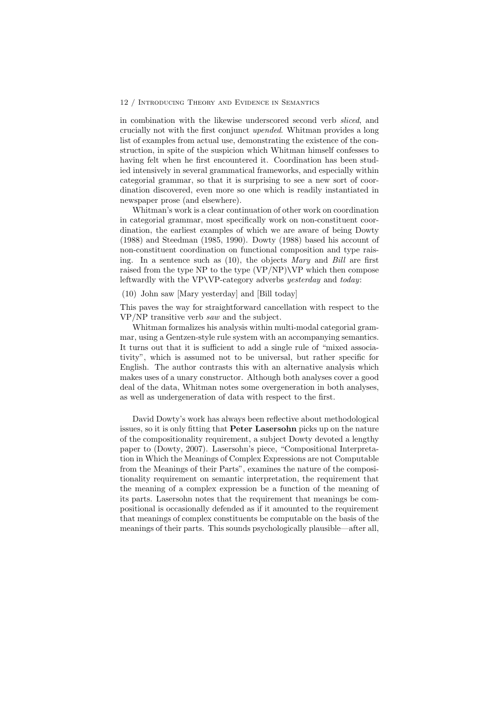in combination with the likewise underscored second verb sliced, and crucially not with the first conjunct upended. Whitman provides a long list of examples from actual use, demonstrating the existence of the construction, in spite of the suspicion which Whitman himself confesses to having felt when he first encountered it. Coordination has been studied intensively in several grammatical frameworks, and especially within categorial grammar, so that it is surprising to see a new sort of coordination discovered, even more so one which is readily instantiated in newspaper prose (and elsewhere).

Whitman's work is a clear continuation of other work on coordination in categorial grammar, most specifically work on non-constituent coordination, the earliest examples of which we are aware of being Dowty (1988) and Steedman (1985, 1990). Dowty (1988) based his account of non-constituent coordination on functional composition and type raising. In a sentence such as (10), the objects Mary and Bill are first raised from the type NP to the type (VP/NP)\VP which then compose leftwardly with the VP\VP-category adverbs yesterday and today:

### (10) John saw [Mary yesterday] and [Bill today]

This paves the way for straightforward cancellation with respect to the VP/NP transitive verb saw and the subject.

Whitman formalizes his analysis within multi-modal categorial grammar, using a Gentzen-style rule system with an accompanying semantics. It turns out that it is sufficient to add a single rule of "mixed associativity", which is assumed not to be universal, but rather specific for English. The author contrasts this with an alternative analysis which makes uses of a unary constructor. Although both analyses cover a good deal of the data, Whitman notes some overgeneration in both analyses, as well as undergeneration of data with respect to the first.

David Dowty's work has always been reflective about methodological issues, so it is only fitting that Peter Lasersohn picks up on the nature of the compositionality requirement, a subject Dowty devoted a lengthy paper to (Dowty, 2007). Lasersohn's piece, "Compositional Interpretation in Which the Meanings of Complex Expressions are not Computable from the Meanings of their Parts", examines the nature of the compositionality requirement on semantic interpretation, the requirement that the meaning of a complex expression be a function of the meaning of its parts. Lasersohn notes that the requirement that meanings be compositional is occasionally defended as if it amounted to the requirement that meanings of complex constituents be computable on the basis of the meanings of their parts. This sounds psychologically plausible—after all,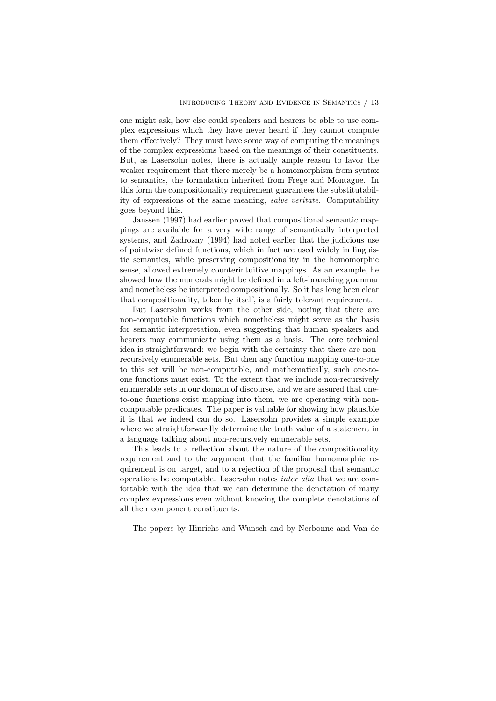one might ask, how else could speakers and hearers be able to use complex expressions which they have never heard if they cannot compute them effectively? They must have some way of computing the meanings of the complex expressions based on the meanings of their constituents. But, as Lasersohn notes, there is actually ample reason to favor the weaker requirement that there merely be a homomorphism from syntax to semantics, the formulation inherited from Frege and Montague. In this form the compositionality requirement guarantees the substitutability of expressions of the same meaning, salve veritate. Computability goes beyond this.

Janssen (1997) had earlier proved that compositional semantic mappings are available for a very wide range of semantically interpreted systems, and Zadrozny (1994) had noted earlier that the judicious use of pointwise defined functions, which in fact are used widely in linguistic semantics, while preserving compositionality in the homomorphic sense, allowed extremely counterintuitive mappings. As an example, he showed how the numerals might be defined in a left-branching grammar and nonetheless be interpreted compositionally. So it has long been clear that compositionality, taken by itself, is a fairly tolerant requirement.

But Lasersohn works from the other side, noting that there are non-computable functions which nonetheless might serve as the basis for semantic interpretation, even suggesting that human speakers and hearers may communicate using them as a basis. The core technical idea is straightforward: we begin with the certainty that there are nonrecursively enumerable sets. But then any function mapping one-to-one to this set will be non-computable, and mathematically, such one-toone functions must exist. To the extent that we include non-recursively enumerable sets in our domain of discourse, and we are assured that oneto-one functions exist mapping into them, we are operating with noncomputable predicates. The paper is valuable for showing how plausible it is that we indeed can do so. Lasersohn provides a simple example where we straightforwardly determine the truth value of a statement in a language talking about non-recursively enumerable sets.

This leads to a reflection about the nature of the compositionality requirement and to the argument that the familiar homomorphic requirement is on target, and to a rejection of the proposal that semantic operations be computable. Lasersohn notes inter alia that we are comfortable with the idea that we can determine the denotation of many complex expressions even without knowing the complete denotations of all their component constituents.

The papers by Hinrichs and Wunsch and by Nerbonne and Van de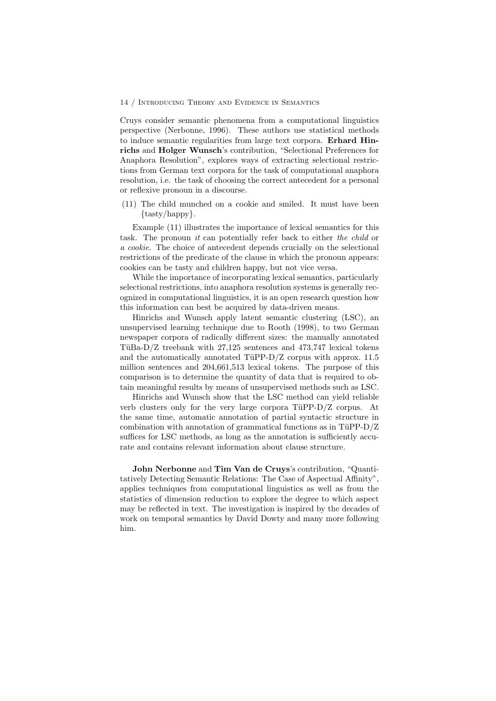Cruys consider semantic phenomena from a computational linguistics perspective (Nerbonne, 1996). These authors use statistical methods to induce semantic regularities from large text corpora. Erhard Hinrichs and Holger Wunsch's contribution, "Selectional Preferences for Anaphora Resolution", explores ways of extracting selectional restrictions from German text corpora for the task of computational anaphora resolution, i.e. the task of choosing the correct antecedent for a personal or reflexive pronoun in a discourse.

(11) The child munched on a cookie and smiled. It must have been {tasty/happy}.

Example (11) illustrates the importance of lexical semantics for this task. The pronoun *it* can potentially refer back to either the child or a cookie. The choice of antecedent depends crucially on the selectional restrictions of the predicate of the clause in which the pronoun appears: cookies can be tasty and children happy, but not vice versa.

While the importance of incorporating lexical semantics, particularly selectional restrictions, into anaphora resolution systems is generally recognized in computational linguistics, it is an open research question how this information can best be acquired by data-driven means.

Hinrichs and Wunsch apply latent semantic clustering (LSC), an unsupervised learning technique due to Rooth (1998), to two German newspaper corpora of radically different sizes: the manually annotated TüBa-D/Z treebank with  $27,125$  sentences and  $473,747$  lexical tokens and the automatically annotated TüPP- $D/Z$  corpus with approx. 11.5 million sentences and 204,661,513 lexical tokens. The purpose of this comparison is to determine the quantity of data that is required to obtain meaningful results by means of unsupervised methods such as LSC.

Hinrichs and Wunsch show that the LSC method can yield reliable verb clusters only for the very large corpora TüPP- $D/Z$  corpus. At the same time, automatic annotation of partial syntactic structure in combination with annotation of grammatical functions as in  $TiUPP-D/Z$ suffices for LSC methods, as long as the annotation is sufficiently accurate and contains relevant information about clause structure.

John Nerbonne and Tim Van de Cruys's contribution, "Quantitatively Detecting Semantic Relations: The Case of Aspectual Affinity", applies techniques from computational linguistics as well as from the statistics of dimension reduction to explore the degree to which aspect may be reflected in text. The investigation is inspired by the decades of work on temporal semantics by David Dowty and many more following him.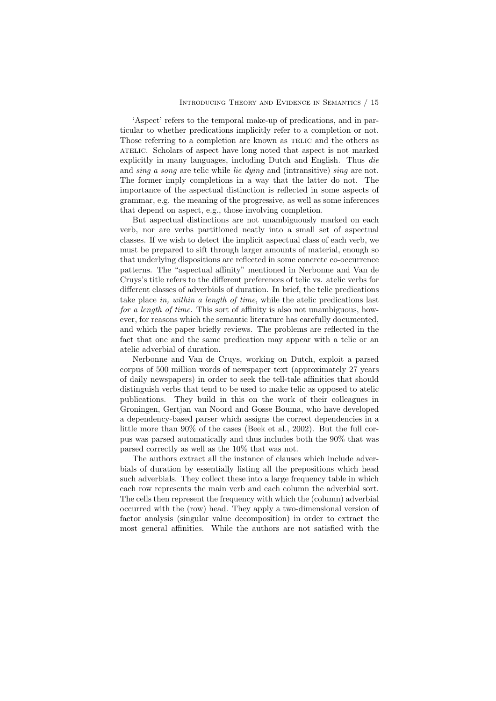'Aspect' refers to the temporal make-up of predications, and in particular to whether predications implicitly refer to a completion or not. Those referring to a completion are known as TELIC and the others as ATELIC. Scholars of aspect have long noted that aspect is not marked explicitly in many languages, including Dutch and English. Thus die and sing a song are telic while lie dying and (intransitive) sing are not. The former imply completions in a way that the latter do not. The importance of the aspectual distinction is reflected in some aspects of grammar, e.g. the meaning of the progressive, as well as some inferences that depend on aspect, e.g., those involving completion.

But aspectual distinctions are not unambiguously marked on each verb, nor are verbs partitioned neatly into a small set of aspectual classes. If we wish to detect the implicit aspectual class of each verb, we must be prepared to sift through larger amounts of material, enough so that underlying dispositions are reflected in some concrete co-occurrence patterns. The "aspectual affinity" mentioned in Nerbonne and Van de Cruys's title refers to the different preferences of telic vs. atelic verbs for different classes of adverbials of duration. In brief, the telic predications take place in, within a length of time, while the atelic predications last for a length of time. This sort of affinity is also not unambiguous, however, for reasons which the semantic literature has carefully documented, and which the paper briefly reviews. The problems are reflected in the fact that one and the same predication may appear with a telic or an atelic adverbial of duration.

Nerbonne and Van de Cruys, working on Dutch, exploit a parsed corpus of 500 million words of newspaper text (approximately 27 years of daily newspapers) in order to seek the tell-tale affinities that should distinguish verbs that tend to be used to make telic as opposed to atelic publications. They build in this on the work of their colleagues in Groningen, Gertjan van Noord and Gosse Bouma, who have developed a dependency-based parser which assigns the correct dependencies in a little more than 90% of the cases (Beek et al., 2002). But the full corpus was parsed automatically and thus includes both the 90% that was parsed correctly as well as the 10% that was not.

The authors extract all the instance of clauses which include adverbials of duration by essentially listing all the prepositions which head such adverbials. They collect these into a large frequency table in which each row represents the main verb and each column the adverbial sort. The cells then represent the frequency with which the (column) adverbial occurred with the (row) head. They apply a two-dimensional version of factor analysis (singular value decomposition) in order to extract the most general affinities. While the authors are not satisfied with the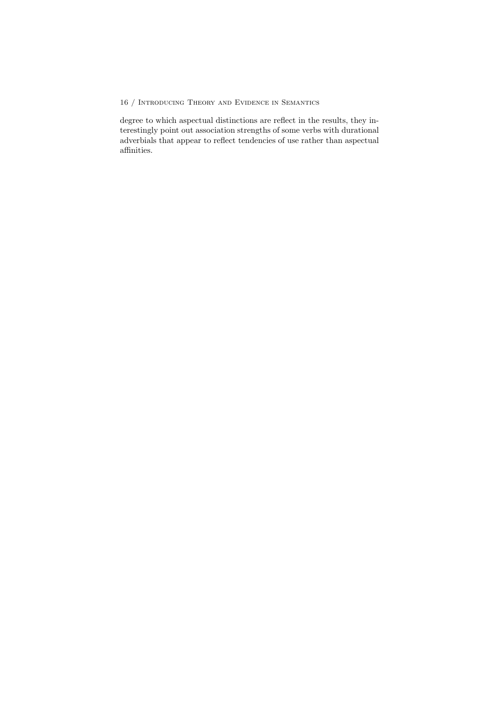degree to which aspectual distinctions are reflect in the results, they interestingly point out association strengths of some verbs with durational adverbials that appear to reflect tendencies of use rather than aspectual affinities.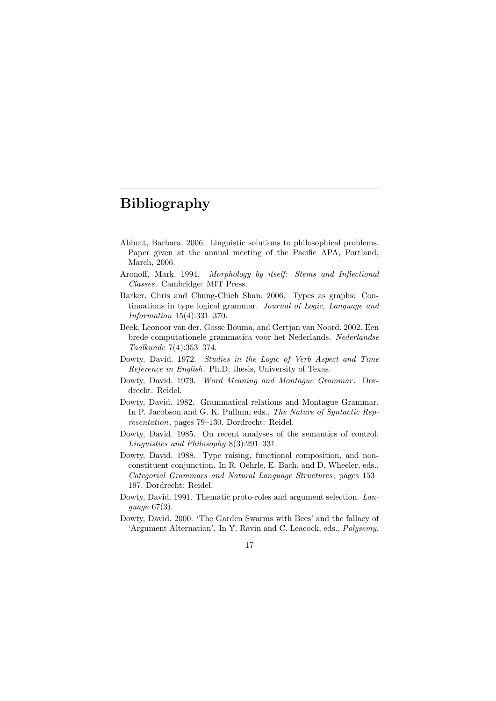# Bibliography

- Abbott, Barbara. 2006. Linguistic solutions to philosophical problems. Paper given at the annual meeting of the Pacific APA, Portland, March, 2006.
- Aronoff, Mark. 1994. Morphology by itself: Stems and Inflectional Classes. Cambridge: MIT Press.
- Barker, Chris and Chung-Chieh Shan. 2006. Types as graphs: Continuations in type logical grammar. *Journal of Logic, Language and* Information 15(4):331–370.
- Beek, Leonoor van der, Gosse Bouma, and Gertjan van Noord. 2002. Een brede computationele grammatica voor het Nederlands. Nederlandse Taalkunde 7(4):353–374.
- Dowty, David. 1972. Studies in the Logic of Verb Aspect and Time Reference in English. Ph.D. thesis, University of Texas.
- Dowty, David. 1979. *Word Meaning and Montague Grammar*. Dordrecht: Reidel.
- Dowty, David. 1982. Grammatical relations and Montague Grammar. In P. Jacobson and G. K. Pullum, eds., The Nature of Syntactic Representation, pages 79–130. Dordrecht: Reidel.
- Dowty, David. 1985. On recent analyses of the semantics of control. Linguistics and Philosophy 8(3):291–331.
- Dowty, David. 1988. Type raising, functional composition, and nonconstituent conjunction. In R. Oehrle, E. Bach, and D. Wheeler, eds., Categorial Grammars and Natural Language Structures, pages 153– 197. Dordrecht: Reidel.
- Dowty, David. 1991. Thematic proto-roles and argument selection. Language 67(3).
- Dowty, David. 2000. 'The Garden Swarms with Bees' and the fallacy of 'Argument Alternation'. In Y. Ravin and C. Leacock, eds., Polysemy.

17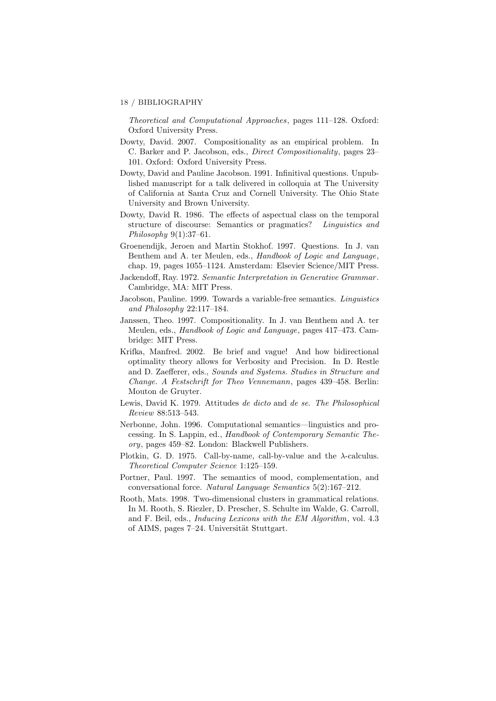#### 18 / BIBLIOGRAPHY

Theoretical and Computational Approaches, pages 111–128. Oxford: Oxford University Press.

- Dowty, David. 2007. Compositionality as an empirical problem. In C. Barker and P. Jacobson, eds., Direct Compositionality, pages 23– 101. Oxford: Oxford University Press.
- Dowty, David and Pauline Jacobson. 1991. Infinitival questions. Unpublished manuscript for a talk delivered in colloquia at The University of California at Santa Cruz and Cornell University. The Ohio State University and Brown University.
- Dowty, David R. 1986. The effects of aspectual class on the temporal structure of discourse: Semantics or pragmatics? Linguistics and Philosophy 9(1):37–61.
- Groenendijk, Jeroen and Martin Stokhof. 1997. Questions. In J. van Benthem and A. ter Meulen, eds., *Handbook of Logic and Language*, chap. 19, pages 1055–1124. Amsterdam: Elsevier Science/MIT Press.
- Jackendoff, Ray. 1972. Semantic Interpretation in Generative Grammar . Cambridge, MA: MIT Press.
- Jacobson, Pauline. 1999. Towards a variable-free semantics. Linguistics and Philosophy 22:117–184.
- Janssen, Theo. 1997. Compositionality. In J. van Benthem and A. ter Meulen, eds., Handbook of Logic and Language, pages 417–473. Cambridge: MIT Press.
- Krifka, Manfred. 2002. Be brief and vague! And how bidirectional optimality theory allows for Verbosity and Precision. In D. Restle and D. Zaefferer, eds., Sounds and Systems. Studies in Structure and Change. A Festschrift for Theo Vennemann, pages 439–458. Berlin: Mouton de Gruyter.
- Lewis, David K. 1979. Attitudes de dicto and de se. The Philosophical Review 88:513–543.
- Nerbonne, John. 1996. Computational semantics—linguistics and processing. In S. Lappin, ed., Handbook of Contemporary Semantic Theory, pages 459–82. London: Blackwell Publishers.
- Plotkin, G. D. 1975. Call-by-name, call-by-value and the  $\lambda$ -calculus. Theoretical Computer Science 1:125–159.
- Portner, Paul. 1997. The semantics of mood, complementation, and conversational force. Natural Language Semantics 5(2):167–212.
- Rooth, Mats. 1998. Two-dimensional clusters in grammatical relations. In M. Rooth, S. Riezler, D. Prescher, S. Schulte im Walde, G. Carroll, and F. Beil, eds., Inducing Lexicons with the EM Algorithm, vol. 4.3 of AIMS, pages 7–24. Universität Stuttgart.